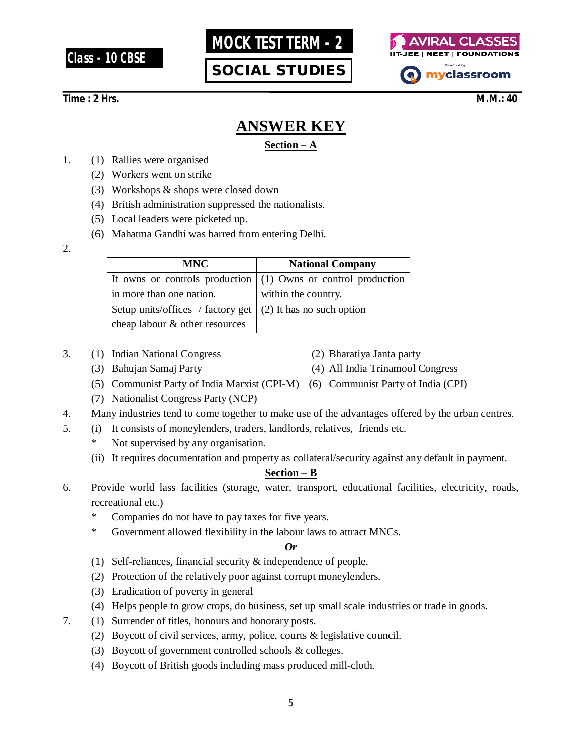**Class - 10 CBSE**



**SOCIAL STUDIES**



# **Time : 2 Hrs.** M.M.: 40

# **ANSWER KEY**

## **Section – A**

- 1. (1) Rallies were organised
	- (2) Workers went on strike
	- (3) Workshops & shops were closed down
	- (4) British administration suppressed the nationalists.
	- (5) Local leaders were picketed up.
	- (6) Mahatma Gandhi was barred from entering Delhi.
- 2.

| <b>MNC</b>                                                         | <b>National Company</b>                                         |
|--------------------------------------------------------------------|-----------------------------------------------------------------|
|                                                                    | It owns or controls production $(1)$ Owns or control production |
| in more than one nation.                                           | within the country.                                             |
| Setup units/offices / factory get $\mid$ (2) It has no such option |                                                                 |
| cheap labour & other resources                                     |                                                                 |

- 3. (1) Indian National Congress (2) Bharatiya Janta party
- 

- 
- (3) Bahujan Samaj Party (4) All India Trinamool Congress
- (5) Communist Party of India Marxist (CPI-M) (6) Communist Party of India (CPI)
- (7) Nationalist Congress Party (NCP)
- 4. Many industries tend to come together to make use of the advantages offered by the urban centres.
- 5. (i) It consists of moneylenders, traders, landlords, relatives, friends etc.
	- Not supervised by any organisation.
	- (ii) It requires documentation and property as collateral/security against any default in payment.

## **Section – B**

- 6. Provide world lass facilities (storage, water, transport, educational facilities, electricity, roads, recreational etc.)
	- \* Companies do not have to pay taxes for five years.
	- \* Government allowed flexibility in the labour laws to attract MNCs.

#### *Or*

- (1) Self-reliances, financial security & independence of people.
- (2) Protection of the relatively poor against corrupt moneylenders.
- (3) Eradication of poverty in general
- (4) Helps people to grow crops, do business, set up small scale industries or trade in goods.
- 7. (1) Surrender of titles, honours and honorary posts.
	- (2) Boycott of civil services, army, police, courts & legislative council.
	- (3) Boycott of government controlled schools & colleges.
	- (4) Boycott of British goods including mass produced mill-cloth.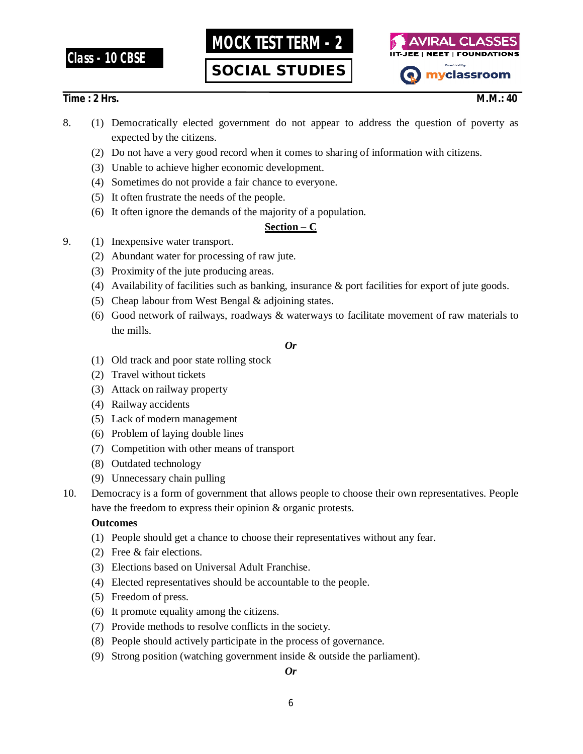# **Class - 10 CBSE**

**MOCK TEST TERM - 2**

**SOCIAL STUDIES**



## **Time : 2 Hrs.** M.M.: 40

- 8. (1) Democratically elected government do not appear to address the question of poverty as expected by the citizens.
	- (2) Do not have a very good record when it comes to sharing of information with citizens.
	- (3) Unable to achieve higher economic development.
	- (4) Sometimes do not provide a fair chance to everyone.
	- (5) It often frustrate the needs of the people.
	- (6) It often ignore the demands of the majority of a population.

# **Section – C**

- 9. (1) Inexpensive water transport.
	- (2) Abundant water for processing of raw jute.
	- (3) Proximity of the jute producing areas.
	- (4) Availability of facilities such as banking, insurance & port facilities for export of jute goods.
	- (5) Cheap labour from West Bengal & adjoining states.
	- (6) Good network of railways, roadways & waterways to facilitate movement of raw materials to the mills.

#### *Or*

- (1) Old track and poor state rolling stock
- (2) Travel without tickets
- (3) Attack on railway property
- (4) Railway accidents
- (5) Lack of modern management
- (6) Problem of laying double lines
- (7) Competition with other means of transport
- (8) Outdated technology
- (9) Unnecessary chain pulling
- 10. Democracy is a form of government that allows people to choose their own representatives. People have the freedom to express their opinion & organic protests.

## **Outcomes**

- (1) People should get a chance to choose their representatives without any fear.
- (2) Free & fair elections.
- (3) Elections based on Universal Adult Franchise.
- (4) Elected representatives should be accountable to the people.
- (5) Freedom of press.
- (6) It promote equality among the citizens.
- (7) Provide methods to resolve conflicts in the society.
- (8) People should actively participate in the process of governance.
- (9) Strong position (watching government inside & outside the parliament).